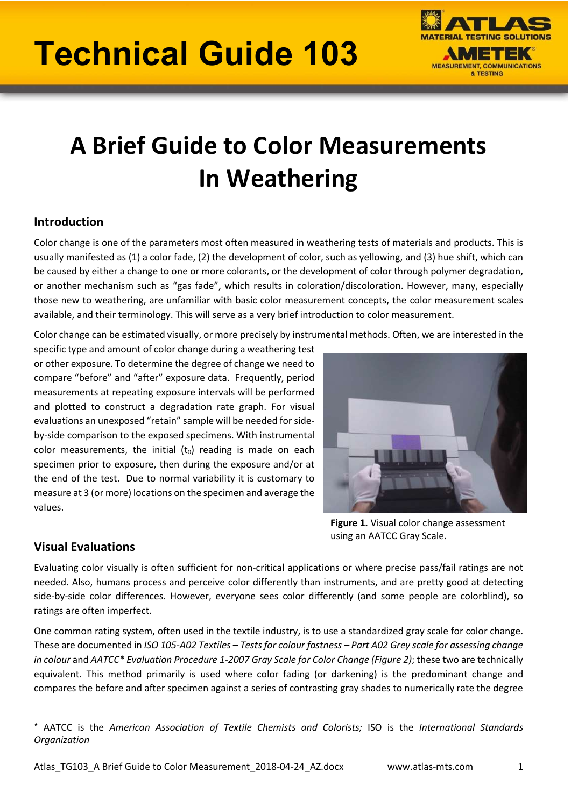# Technical Guide 103



# A Brief Guide to Color Measurements In Weathering

# Introduction

Color change is one of the parameters most often measured in weathering tests of materials and products. This is usually manifested as (1) a color fade, (2) the development of color, such as yellowing, and (3) hue shift, which can be caused by either a change to one or more colorants, or the development of color through polymer degradation, or another mechanism such as "gas fade", which results in coloration/discoloration. However, many, especially those new to weathering, are unfamiliar with basic color measurement concepts, the color measurement scales available, and their terminology. This will serve as a very brief introduction to color measurement.

Color change can be estimated visually, or more precisely by instrumental methods. Often, we are interested in the

specific type and amount of color change during a weathering test or other exposure. To determine the degree of change we need to compare "before" and "after" exposure data. Frequently, period measurements at repeating exposure intervals will be performed and plotted to construct a degradation rate graph. For visual evaluations an unexposed "retain" sample will be needed for sideby-side comparison to the exposed specimens. With instrumental color measurements, the initial  $(t_0)$  reading is made on each specimen prior to exposure, then during the exposure and/or at the end of the test. Due to normal variability it is customary to measure at 3 (or more) locations on the specimen and average the values.



Figure 1. Visual color change assessment using an AATCC Gray Scale.

# Visual Evaluations

Evaluating color visually is often sufficient for non-critical applications or where precise pass/fail ratings are not needed. Also, humans process and perceive color differently than instruments, and are pretty good at detecting side-by-side color differences. However, everyone sees color differently (and some people are colorblind), so ratings are often imperfect.

One common rating system, often used in the textile industry, is to use a standardized gray scale for color change. These are documented in ISO 105-A02 Textiles – Tests for colour fastness – Part A02 Grey scale for assessing change in colour and AATCC\* Evaluation Procedure 1-2007 Gray Scale for Color Change (Figure 2); these two are technically equivalent. This method primarily is used where color fading (or darkening) is the predominant change and compares the before and after specimen against a series of contrasting gray shades to numerically rate the degree

٭ AATCC is the American Association of Textile Chemists and Colorists; ISO is the International Standards **Organization**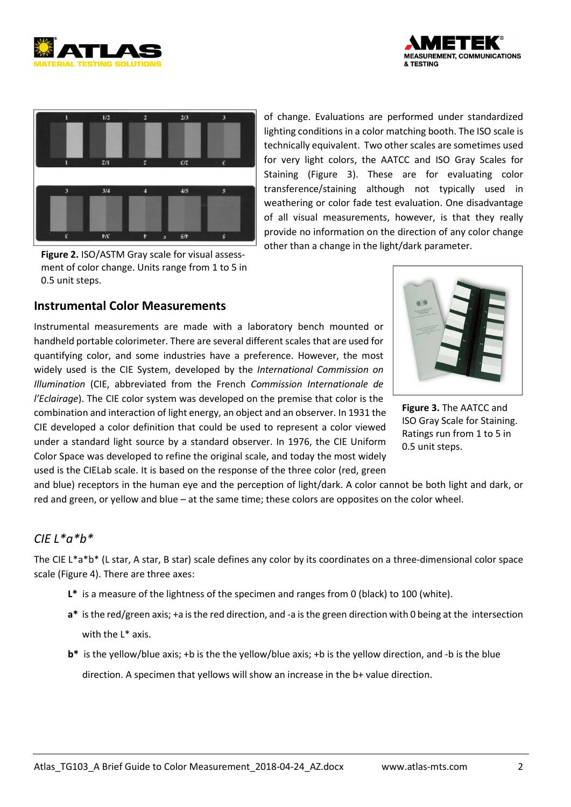





Figure 2. ISO/ASTM Gray scale for visual assessment of color change. Units range from 1 to 5 in 0.5 unit steps.

of change. Evaluations are performed under standardized lighting conditions in a color matching booth. The ISO scale is technically equivalent. Two other scales are sometimes used for very light colors, the AATCC and ISO Gray Scales for Staining (Figure 3). These are for evaluating color transference/staining although not typically used in weathering or color fade test evaluation. One disadvantage of all visual measurements, however, is that they really provide no information on the direction of any color change other than a change in the light/dark parameter.

#### Instrumental Color Measurements

Instrumental measurements are made with a laboratory bench mounted or handheld portable colorimeter. There are several different scales that are used for quantifying color, and some industries have a preference. However, the most widely used is the CIE System, developed by the International Commission on Illumination (CIE, abbreviated from the French Commission Internationale de l'Eclairage). The CIE color system was developed on the premise that color is the combination and interaction of light energy, an object and an observer. In 1931 the CIE developed a color definition that could be used to represent a color viewed under a standard light source by a standard observer. In 1976, the CIE Uniform Color Space was developed to refine the original scale, and today the most widely used is the CIELab scale. It is based on the response of the three color (red, green



Figure 3. The AATCC and ISO Gray Scale for Staining. Ratings run from 1 to 5 in 0.5 unit steps.

and blue) receptors in the human eye and the perception of light/dark. A color cannot be both light and dark, or red and green, or yellow and blue – at the same time; these colors are opposites on the color wheel.

#### $CIFI*a*h*$

The CIE L\*a\*b\* (L star, A star, B star) scale defines any color by its coordinates on a three-dimensional color space scale (Figure 4). There are three axes:

- L\* is a measure of the lightness of the specimen and ranges from 0 (black) to 100 (white).
- a\* is the red/green axis; +a is the red direction, and -a is the green direction with 0 being at the intersection with the L\* axis.
- b\* is the yellow/blue axis; +b is the the yellow/blue axis; +b is the yellow direction, and -b is the blue direction. A specimen that yellows will show an increase in the b+ value direction.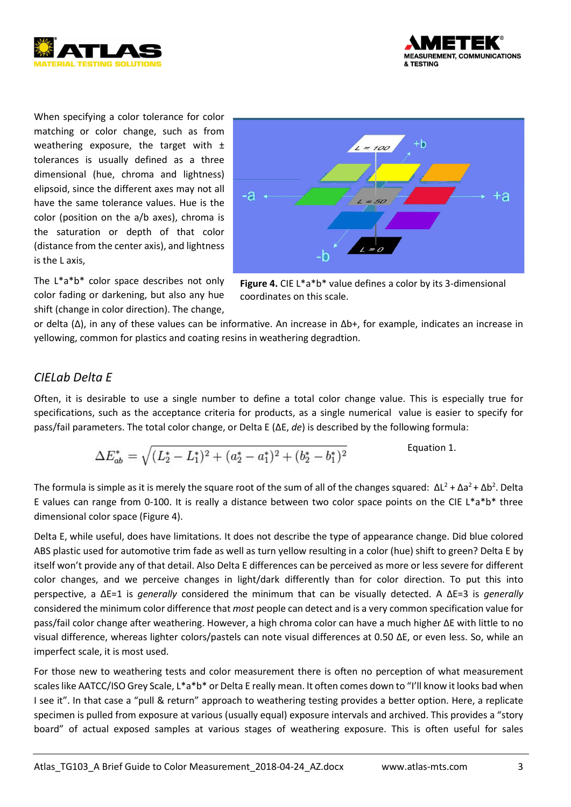



When specifying a color tolerance for color matching or color change, such as from weathering exposure, the target with  $\pm$ tolerances is usually defined as a three dimensional (hue, chroma and lightness) elipsoid, since the different axes may not all have the same tolerance values. Hue is the color (position on the a/b axes), chroma is the saturation or depth of that color (distance from the center axis), and lightness is the L axis,



The L\*a\*b\* color space describes not only color fading or darkening, but also any hue shift (change in color direction). The change,

Figure 4. CIE L\*a\*b\* value defines a color by its 3-dimensional coordinates on this scale.

or delta (Δ), in any of these values can be informative. An increase in Δb+, for example, indicates an increase in yellowing, common for plastics and coating resins in weathering degradtion.

## CIELab Delta E

Often, it is desirable to use a single number to define a total color change value. This is especially true for specifications, such as the acceptance criteria for products, as a single numerical value is easier to specify for pass/fail parameters. The total color change, or Delta E (ΔE, de) is described by the following formula:

$$
\Delta E_{ab}^* = \sqrt{(L_2^* - L_1^*)^2 + (a_2^* - a_1^*)^2 + (b_2^* - b_1^*)^2}
$$
 Equation 1.

The formula is simple as it is merely the square root of the sum of all of the changes squared:  $ΔL^2 + Δa^2 + Δb^2$ . Delta E values can range from 0-100. It is really a distance between two color space points on the CIE L\*a\*b\* three dimensional color space (Figure 4).

Delta E, while useful, does have limitations. It does not describe the type of appearance change. Did blue colored ABS plastic used for automotive trim fade as well as turn yellow resulting in a color (hue) shift to green? Delta E by itself won't provide any of that detail. Also Delta E differences can be perceived as more or less severe for different color changes, and we perceive changes in light/dark differently than for color direction. To put this into perspective, a ΔE=1 is *generally* considered the minimum that can be visually detected. A ΔE=3 is *generally* considered the minimum color difference that most people can detect and is a very common specification value for pass/fail color change after weathering. However, a high chroma color can have a much higher ΔE with little to no visual difference, whereas lighter colors/pastels can note visual differences at 0.50 ΔE, or even less. So, while an imperfect scale, it is most used.

For those new to weathering tests and color measurement there is often no perception of what measurement scales like AATCC/ISO Grey Scale, L\*a\*b\* or Delta E really mean. It often comes down to "I'll know it looks bad when I see it". In that case a "pull & return" approach to weathering testing provides a better option. Here, a replicate specimen is pulled from exposure at various (usually equal) exposure intervals and archived. This provides a "story board" of actual exposed samples at various stages of weathering exposure. This is often useful for sales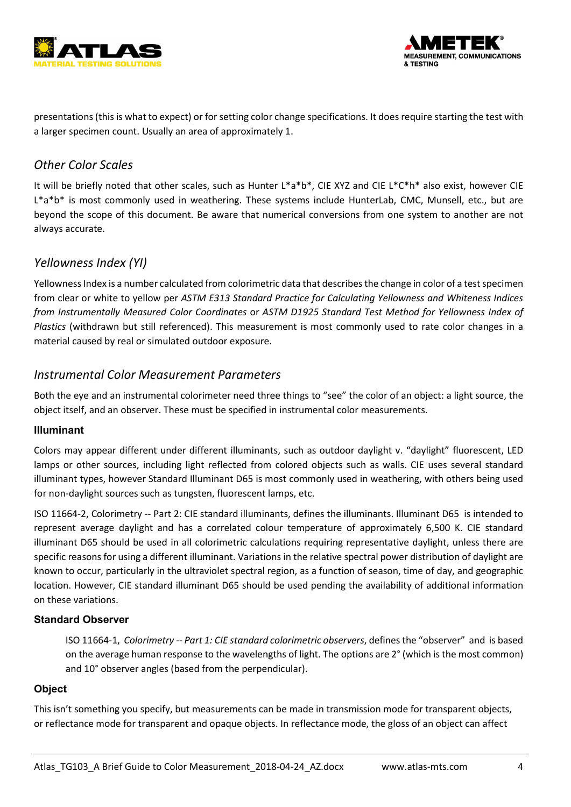



presentations (this is what to expect) or for setting color change specifications. It does require starting the test with a larger specimen count. Usually an area of approximately 1.

# Other Color Scales

It will be briefly noted that other scales, such as Hunter L\*a\*b\*, CIE XYZ and CIE L\*C\*h\* also exist, however CIE L\*a\*b\* is most commonly used in weathering. These systems include HunterLab, CMC, Munsell, etc., but are beyond the scope of this document. Be aware that numerical conversions from one system to another are not always accurate.

## Yellowness Index (YI)

Yellowness Index is a number calculated from colorimetric data that describes the change in color of a test specimen from clear or white to yellow per ASTM E313 Standard Practice for Calculating Yellowness and Whiteness Indices from Instrumentally Measured Color Coordinates or ASTM D1925 Standard Test Method for Yellowness Index of Plastics (withdrawn but still referenced). This measurement is most commonly used to rate color changes in a material caused by real or simulated outdoor exposure.

#### Instrumental Color Measurement Parameters

Both the eye and an instrumental colorimeter need three things to "see" the color of an object: a light source, the object itself, and an observer. These must be specified in instrumental color measurements.

#### Illuminant

Colors may appear different under different illuminants, such as outdoor daylight v. "daylight" fluorescent, LED lamps or other sources, including light reflected from colored objects such as walls. CIE uses several standard illuminant types, however Standard Illuminant D65 is most commonly used in weathering, with others being used for non-daylight sources such as tungsten, fluorescent lamps, etc.

ISO 11664-2, Colorimetry -- Part 2: CIE standard illuminants, defines the illuminants. Illuminant D65 is intended to represent average daylight and has a correlated colour temperature of approximately 6,500 K. CIE standard illuminant D65 should be used in all colorimetric calculations requiring representative daylight, unless there are specific reasons for using a different illuminant. Variations in the relative spectral power distribution of daylight are known to occur, particularly in the ultraviolet spectral region, as a function of season, time of day, and geographic location. However, CIE standard illuminant D65 should be used pending the availability of additional information on these variations.

#### Standard Observer

ISO 11664-1, Colorimetry -- Part 1: CIE standard colorimetric observers, defines the "observer" and is based on the average human response to the wavelengths of light. The options are 2° (which is the most common) and 10° observer angles (based from the perpendicular).

#### **Object**

This isn't something you specify, but measurements can be made in transmission mode for transparent objects, or reflectance mode for transparent and opaque objects. In reflectance mode, the gloss of an object can affect